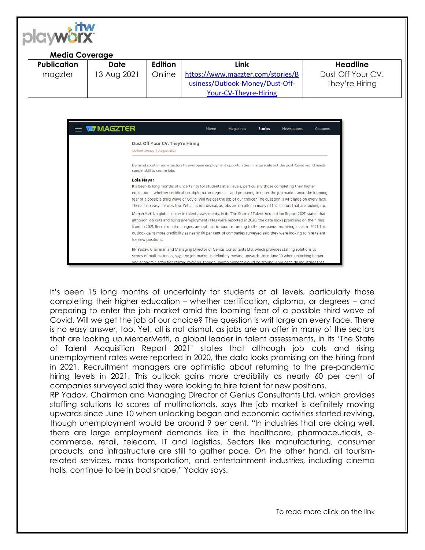

## **Media Coverage**

| <b>Publication</b> | Date        | Edition | Link                              | <b>Headline</b>   |
|--------------------|-------------|---------|-----------------------------------|-------------------|
| magzter            | 13 Aug 2021 | Online  | https://www.magzter.com/stories/B | Dust Off Your CV. |
|                    |             |         | usiness/Outlook-Money/Dust-Off-   | They're Hiring    |
|                    |             |         | Your-CV-Theyre-Hiring             |                   |

| $\equiv$ w/magzter                                                                                                                                                                                                                                                                                                                        | Home                                                                                                                                                                                                                                                                                                                                                                                                                                                                                | <b>Magazines</b> | <b>Stories</b> | <b>Newspapers</b> | <b>Coupons</b> |  |  |  |
|-------------------------------------------------------------------------------------------------------------------------------------------------------------------------------------------------------------------------------------------------------------------------------------------------------------------------------------------|-------------------------------------------------------------------------------------------------------------------------------------------------------------------------------------------------------------------------------------------------------------------------------------------------------------------------------------------------------------------------------------------------------------------------------------------------------------------------------------|------------------|----------------|-------------------|----------------|--|--|--|
| Dust Off Your CV. They're Hiring<br>Outlook Money   August 2021                                                                                                                                                                                                                                                                           |                                                                                                                                                                                                                                                                                                                                                                                                                                                                                     |                  |                |                   |                |  |  |  |
| special skill to secure jobs                                                                                                                                                                                                                                                                                                              | Demand spurt in some sectors throws open employment opportunities in large scale but the post-Covid world needs                                                                                                                                                                                                                                                                                                                                                                     |                  |                |                   |                |  |  |  |
| <b>Lola Navar</b>                                                                                                                                                                                                                                                                                                                         | It's been 15 long months of uncertainty for students at all levels, particularly those completing their higher<br>education – whether certification, diploma, or degrees – and preparing to enter the job market amid the looming<br>fear of a possible third wave of Covid. Will we get the job of our choice? The question is writ large on every face.<br>There is no easy answer, too. Yet, all is not dismal, as jobs are on offer in many of the sectors that are looking up. |                  |                |                   |                |  |  |  |
| for new positions.                                                                                                                                                                                                                                                                                                                        | MercerMettl, a global leader in talent assessments, in its The State of Talent Acquisition Report 2021' states that<br>although job cuts and rising unemployment rates were reported in 2020, the data looks promising on the hiring<br>front in 2021. Recruitment managers are optimistic about returning to the pre-pandemic hiring levels in 2021. This<br>outlook gains more credibility as nearly 60 per cent of companies surveyed said they were looking to hire talent      |                  |                |                   |                |  |  |  |
| RP Yaday, Chairman and Managing Director of Genius Consultants Ltd, which provides staffing solutions to<br>scores of multinationals, says the job market is definitely moving upwards since June 10 when unlocking began<br>and economic activities started reviving though unemployment would be around 9 per cent. "In industries that |                                                                                                                                                                                                                                                                                                                                                                                                                                                                                     |                  |                |                   |                |  |  |  |

It's been 15 long months of uncertainty for students at all levels, particularly those completing their higher education – whether certification, diploma, or degrees – and preparing to enter the job market amid the looming fear of a possible third wave of Covid. Will we get the job of our choice? The question is writ large on every face. There is no easy answer, too. Yet, all is not dismal, as jobs are on offer in many of the sectors that are looking up.MercerMettl, a global leader in talent assessments, in its 'The State of Talent Acquisition Report 2021' states that although job cuts and rising unemployment rates were reported in 2020, the data looks promising on the hiring front in 2021. Recruitment managers are optimistic about returning to the pre-pandemic hiring levels in 2021. This outlook gains more credibility as nearly 60 per cent of companies surveyed said they were looking to hire talent for new positions.

RP Yadav, Chairman and Managing Director of Genius Consultants Ltd, which provides staffing solutions to scores of multinationals, says the job market is definitely moving upwards since June 10 when unlocking began and economic activities started reviving, though unemployment would be around 9 per cent. "In industries that are doing well, there are large employment demands like in the healthcare, pharmaceuticals, ecommerce, retail, telecom, IT and logistics. Sectors like manufacturing, consumer products, and infrastructure are still to gather pace. On the other hand, all tourismrelated services, mass transportation, and entertainment industries, including cinema halls, continue to be in bad shape," Yadav says.

To read more click on the link